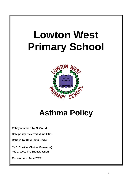# **Lowton West Primary School**



## **Asthma Policy**

**Policy reviewed by N. Gould**

**Date policy reviewed: June 2021**

**Ratified by Governing Body:**

Mr B. Cunliffe (Chair of Governors) Mrs J. Westhead (Headteacher)

**Review date: June 2022**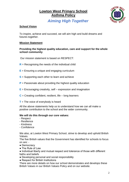### **Lowton West Primary School Asthma Policy**



 *Aiming High Together*

#### **School Vision**

To inspire, achieve and succeed, we will aim high and build dreams and futures together.

#### **Mission Statement**

#### **Providing the highest quality education, care and support for the whole school community**.

Our mission statement is based on RESPECT:

- **R** = Recognising the needs of the individual child
- **E** = Ensuring a unique and engaging curriculum
- **S** = Supporting each other to learn and achieve
- **P** = Passionate about providing the highest quality education
- **E** = Encouraging creativity, self expression and imagination
- **C** = Creating confident, resilient, life long learners
- **T** = The voice of everybody is heard

All the above statements help us to understand how we can all make a positive contribution to the school and the wider community.

#### **We will do this through our core values:**

- Respect
- Resilience
- Kindness
- Confidence

We also, at Lowton West Primary School, strive to develop and uphold British Values.

The five British values that the Government has identified for schools to focus on are: -

- Democracy
- The Rule of Law
- Individual liberty and mutual respect and tolerance of those with different faiths and beliefs
- Developing personal and social responsibility
- Respect for British Institutions

There are more details on how our school demonstrates and develops these British Values in our British Values Policy and on our website.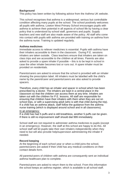#### **Background**

This policy has been written by following advice from the Asthma UK website.

This school recognises that asthma is a widespread, serious but controllable condition affecting many pupils at the school. The school positively welcomes all pupils with asthma. Lowton West Primary School encourages pupils with asthma to achieve their potential in all aspects of school life by having a clear policy that is understood by school staff, governors and pupils. Supply teachers and new staff are also made aware of the policy. All staff who come into contact with pupils with asthma are provided with training on asthma from the asthma nurse. Training is updated regularly.

#### **Asthma medicines**

Immediate access to reliever medicines is essential. Pupils with asthma have their inhalers accessible to them in the classroom. During P.E. sessions inhalers are taken outside. Class teachers ensure that inhalers are taken on class trips and are accessible to the children at all times. Parents are also asked to provide a spare inhaler if possible – this is to be kept in school in case the other inhaler becomes lost or runs out. A spare inhaler must be provided on residentials.

Parents/carers are asked to ensure that the school is provided with an inhaler showing the prescription label. All inhalers must be labelled with the child's name by the parent/carer and parents/carers are also asked to provide spacers.

Therefore, every child has an inhaler and spacer in school which has been prescribed by a doctor. The inhalers are kept in a central place in the classroom so that the children can access them at any time. Inhalers are taken out with the children for P.E. lessons. All staff are responsible for ensuring that children have their inhalers with them when they are out on school trips, or with a supervising adult (who is with that child during the trip). If a child has an asthma attack, staff follow the guidance from the asthma nurse training (which is displayed around school and in all classrooms).

#### In an emergency:

If a child has had 5 puffs and is still breathless, another 5 puffs can be given. If there is still no improvement staff should dial 999 immediately.

School staff are not required to administer asthma medicines to pupils (except in an emergency). However, the staff at this school are happy to do this. All school staff will let pupils take their own inhalers independently when they need to but will also provide help/supervision administering the inhaler if needed.

#### **Record keeping**

At the beginning of each school year or when a child joins the school, parents/carers are asked if their child has any medical conditions on their contact details form.

All parents/carers of children with asthma are consequently sent an individual asthma healthcare plan to complete.

Parents/carers are asked to return them to the school. From this information the school keeps an asthma register, which is available to all school staff.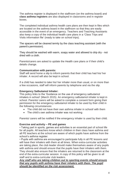The asthma register is displayed in the staffroom (on the asthma board) and **class asthma registers** are also displayed in classrooms and in register boxes.

The completed individual asthma health care plans are then kept in files which are located on the asthma board in the staffroom so that they are easily accessible in the event of an emergency. Teachers and Teaching Assistants also keep a copy of the individual health care plans in a 'Class Trips and Visits information file' (ready to take on school trips).

The spacers will be cleaned termly by the class teaching assistant (with the parent's permission).

They should be washed with warm, soapy water and allowed to drip dry - not dried with a cloth.

Parents/carers are asked to update the Health care plans or if their child's details change.

#### **Communication with parents:**

Staff will send home a slip to inform parents that their child has had his/ her inhaler. A record will also be kept in school.

If a child has needed to take his/ her inhaler more than usual, or on more than a few occasions, staff will inform parents by telephone and via the slip.

#### **Emergency Salbutamol Inhaler:**

This policy links to the 'Guidance on the use of emergency salbutamol inhalers in school' (March 2015). An emergency salbutamol inhaler is kept in school. Parents/ carers will be asked to complete a consent form giving their permission for the emergency salbutamol inhaler to be used by their child in the following circumstances:

- The child did not have their own asthma inhaler in school/ with them
- The child's own asthma inhaler was not working

Parents/ carers will be notified if the emergency inhaler is used by their child.

#### **Exercise and activity – PE and games**

• Taking part in sports, games and activities is an essential part of school life for all pupils. All teachers know which children in their class have asthma and all PE teachers at the school are aware of which pupils have asthma from the school's asthma register.

• Pupils with asthma are encouraged to participate fully in all PE lessons and will have their inhalers with them at all times. When extra-curricular activities are taking place, the club leader should make themselves aware of any pupils with asthma and should ensure that the pupils have their inhalers with them. They should also ensure that the inhalers are returned to the classroom at the end of the extra-curricular session. A copy of this policy will be given to all staff and to extra-curricular club leaders.

#### *Any staff who are taking children out to sporting events should ensure that any pupils with asthma have their inhalers with them. The pupil should be identified on the risk assessment.*